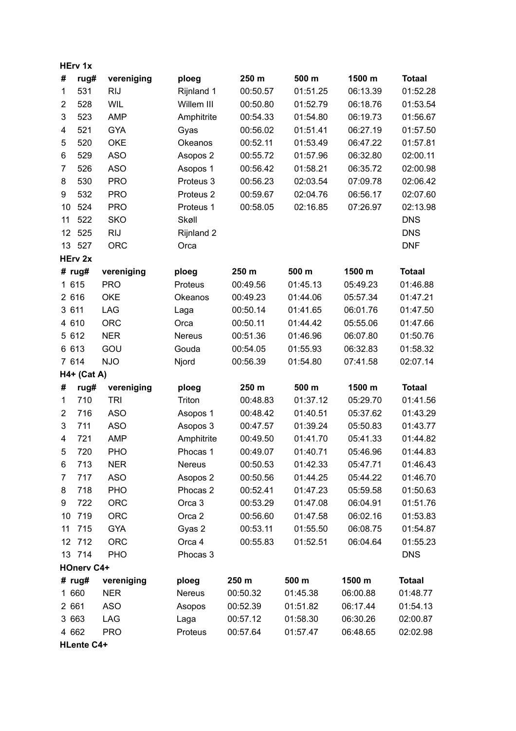|                   | <b>HErv 1x</b>    |            |                      |          |          |          |               |  |  |
|-------------------|-------------------|------------|----------------------|----------|----------|----------|---------------|--|--|
| #                 | rug#              | vereniging | ploeg                | 250 m    | 500 m    | 1500 m   | <b>Totaal</b> |  |  |
| 1                 | 531               | <b>RIJ</b> | Rijnland 1           | 00:50.57 | 01:51.25 | 06:13.39 | 01:52.28      |  |  |
| $\overline{c}$    | 528               | WIL        | Willem III           | 00:50.80 | 01:52.79 | 06:18.76 | 01:53.54      |  |  |
| 3                 | 523               | <b>AMP</b> | Amphitrite           | 00:54.33 | 01:54.80 | 06:19.73 | 01:56.67      |  |  |
| 4                 | 521               | <b>GYA</b> | Gyas                 | 00:56.02 | 01:51.41 | 06:27.19 | 01:57.50      |  |  |
| 5                 | 520               | <b>OKE</b> | Okeanos              | 00:52.11 | 01:53.49 | 06:47.22 | 01:57.81      |  |  |
| 6                 | 529               | <b>ASO</b> | Asopos 2             | 00:55.72 | 01:57.96 | 06:32.80 | 02:00.11      |  |  |
| 7                 | 526               | <b>ASO</b> | Asopos 1             | 00:56.42 | 01:58.21 | 06:35.72 | 02:00.98      |  |  |
| 8                 | 530               | <b>PRO</b> | Proteus 3            | 00:56.23 | 02:03.54 | 07:09.78 | 02:06.42      |  |  |
| 9                 | 532               | <b>PRO</b> | Proteus <sub>2</sub> | 00:59.67 | 02:04.76 | 06:56.17 | 02:07.60      |  |  |
| 10                | 524               | <b>PRO</b> | Proteus 1            | 00:58.05 | 02:16.85 | 07:26.97 | 02:13.98      |  |  |
| 11                | 522               | <b>SKO</b> | Skøll                |          |          |          | <b>DNS</b>    |  |  |
| 12                | 525               | <b>RIJ</b> | Rijnland 2           |          |          |          | <b>DNS</b>    |  |  |
| 13                | 527               | <b>ORC</b> | Orca                 |          |          |          | <b>DNF</b>    |  |  |
|                   | HErv 2x           |            |                      |          |          |          |               |  |  |
|                   | # $rug#$          | vereniging | ploeg                | 250 m    | 500 m    | 1500 m   | <b>Totaal</b> |  |  |
| 1 615             |                   | <b>PRO</b> | Proteus              | 00:49.56 | 01:45.13 | 05:49.23 | 01:46.88      |  |  |
| 2 616             |                   | <b>OKE</b> | Okeanos              | 00:49.23 | 01:44.06 | 05:57.34 | 01:47.21      |  |  |
| 3 611             |                   | LAG        | Laga                 | 00:50.14 | 01:41.65 | 06:01.76 | 01:47.50      |  |  |
| 4 610             |                   | <b>ORC</b> | Orca                 | 00:50.11 | 01:44.42 | 05:55.06 | 01:47.66      |  |  |
| 5 612             |                   | <b>NER</b> | <b>Nereus</b>        | 00:51.36 | 01:46.96 | 06:07.80 | 01:50.76      |  |  |
| 6 613             |                   | GOU        | Gouda                | 00:54.05 | 01:55.93 | 06:32.83 | 01:58.32      |  |  |
| 7 614             |                   | <b>NJO</b> | Njord                | 00:56.39 | 01:54.80 | 07:41.58 | 02:07.14      |  |  |
|                   | H4+ (Cat A)       |            |                      |          |          |          |               |  |  |
| #                 | rug#              | vereniging | ploeg                | 250 m    | 500 m    | 1500 m   | <b>Totaal</b> |  |  |
| 1                 | 710               | <b>TRI</b> | Triton               | 00:48.83 | 01:37.12 | 05:29.70 | 01:41.56      |  |  |
| 2                 | 716               | <b>ASO</b> | Asopos 1             | 00:48.42 | 01:40.51 | 05:37.62 | 01:43.29      |  |  |
| 3                 | 711               | <b>ASO</b> | Asopos 3             | 00:47.57 | 01:39.24 | 05:50.83 | 01:43.77      |  |  |
| 4                 | 721               | <b>AMP</b> | Amphitrite           | 00:49.50 | 01:41.70 | 05:41.33 | 01:44.82      |  |  |
| 5                 | 720               | PHO        | Phocas 1             | 00:49.07 | 01:40.71 | 05:46.96 | 01:44.83      |  |  |
| 6                 | 713               | <b>NER</b> | Nereus               | 00:50.53 | 01:42.33 | 05:47.71 | 01:46.43      |  |  |
| 7                 | 717               | <b>ASO</b> | Asopos 2             | 00:50.56 | 01:44.25 | 05:44.22 | 01:46.70      |  |  |
| 8                 | 718               | <b>PHO</b> | Phocas <sub>2</sub>  | 00:52.41 | 01:47.23 | 05:59.58 | 01:50.63      |  |  |
| 9                 | 722               | <b>ORC</b> | Orca 3               | 00:53.29 | 01:47.08 | 06:04.91 | 01:51.76      |  |  |
| 10                | 719               | <b>ORC</b> | Orca <sub>2</sub>    | 00:56.60 | 01:47.58 | 06:02.16 | 01:53.83      |  |  |
| 11                | 715               | <b>GYA</b> | Gyas 2               | 00:53.11 | 01:55.50 | 06:08.75 | 01:54.87      |  |  |
|                   | 12 712            | <b>ORC</b> | Orca 4               | 00:55.83 | 01:52.51 | 06:04.64 | 01:55.23      |  |  |
|                   | 13 714            | <b>PHO</b> | Phocas 3             |          |          |          | <b>DNS</b>    |  |  |
| <b>HOnerv C4+</b> |                   |            |                      |          |          |          |               |  |  |
|                   | # rug#            | vereniging | ploeg                | 250 m    | 500 m    | 1500 m   | <b>Totaal</b> |  |  |
| 1 660             |                   | <b>NER</b> | Nereus               | 00:50.32 | 01:45.38 | 06:00.88 | 01:48.77      |  |  |
| 2 661             |                   | <b>ASO</b> | Asopos               | 00:52.39 | 01:51.82 | 06:17.44 | 01:54.13      |  |  |
| 3 663             |                   | LAG        | Laga                 | 00:57.12 | 01:58.30 | 06:30.26 | 02:00.87      |  |  |
| 4 662             |                   | <b>PRO</b> | Proteus              | 00:57.64 | 01:57.47 | 06:48.65 | 02:02.98      |  |  |
|                   | <b>HLente C4+</b> |            |                      |          |          |          |               |  |  |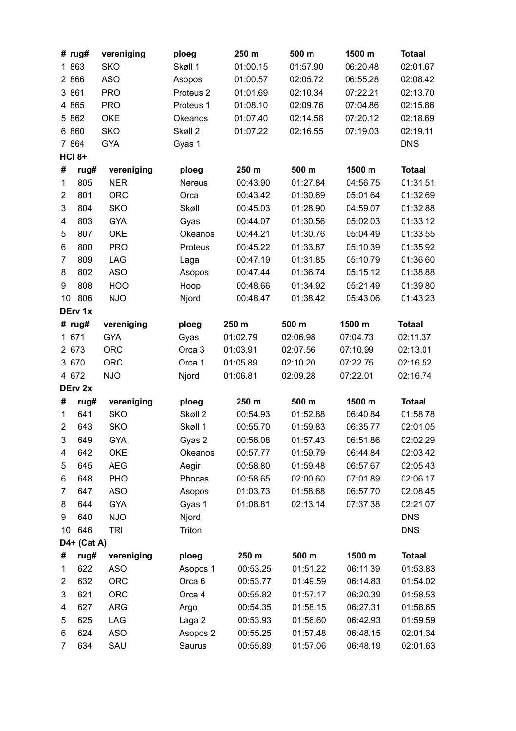|                | # $rug#$      | vereniging | ploeg                | 250 m    | 500 m    | 1500 m   | <b>Totaal</b> |  |
|----------------|---------------|------------|----------------------|----------|----------|----------|---------------|--|
|                | 1 863         | <b>SKO</b> | Skøll 1              | 01:00.15 | 01:57.90 | 06:20.48 | 02:01.67      |  |
|                | 2 8 6 6       | <b>ASO</b> | Asopos               | 01:00.57 | 02:05.72 | 06:55.28 | 02:08.42      |  |
|                | 3 861         | <b>PRO</b> | Proteus <sub>2</sub> | 01:01.69 | 02:10.34 | 07:22.21 | 02:13.70      |  |
|                | 4 8 6 5       | <b>PRO</b> | Proteus 1            | 01:08.10 | 02:09.76 | 07:04.86 | 02:15.86      |  |
|                | 5 8 6 2       | <b>OKE</b> | Okeanos              | 01:07.40 | 02:14.58 | 07:20.12 | 02:18.69      |  |
|                | 6 860         | <b>SKO</b> | Skøll 2              | 01:07.22 | 02:16.55 | 07:19.03 | 02:19.11      |  |
|                | 7 8 64        | <b>GYA</b> | Gyas 1               |          |          |          | <b>DNS</b>    |  |
|                | <b>HCI 8+</b> |            |                      |          |          |          |               |  |
| #              | rug#          | vereniging | ploeg                | 250 m    | 500 m    | 1500 m   | <b>Totaal</b> |  |
| $\mathbf{1}$   | 805           | <b>NER</b> | Nereus               | 00:43.90 | 01:27.84 | 04:56.75 | 01:31.51      |  |
| $\overline{2}$ | 801           | <b>ORC</b> | Orca                 | 00:43.42 | 01:30.69 | 05:01.64 | 01:32.69      |  |
| 3              | 804           | <b>SKO</b> | Skøll                | 00:45.03 | 01:28.90 | 04:59.07 | 01:32.88      |  |
| 4              | 803           | <b>GYA</b> | Gyas                 | 00:44.07 | 01:30.56 | 05:02.03 | 01:33.12      |  |
| 5              | 807           | <b>OKE</b> | Okeanos              | 00:44.21 | 01:30.76 | 05:04.49 | 01:33.55      |  |
| 6              | 800           | <b>PRO</b> | Proteus              | 00:45.22 | 01:33.87 | 05:10.39 | 01:35.92      |  |
| $\overline{7}$ | 809           | LAG        | Laga                 | 00:47.19 | 01:31.85 | 05:10.79 | 01:36.60      |  |
| 8              | 802           | <b>ASO</b> | Asopos               | 00:47.44 | 01:36.74 | 05:15.12 | 01:38.88      |  |
| 9              | 808           | HOO        | Hoop                 | 00:48.66 | 01:34.92 | 05:21.49 | 01:39.80      |  |
| 10             | 806           | <b>NJO</b> | Njord                | 00:48.47 | 01:38.42 | 05:43.06 | 01:43.23      |  |
| DErv 1x        |               |            |                      |          |          |          |               |  |
|                | # $rug#$      | vereniging | ploeg                | 250 m    | 500 m    | 1500 m   | <b>Totaal</b> |  |
|                | 1 671         | <b>GYA</b> | Gyas                 | 01:02.79 | 02:06.98 | 07:04.73 | 02:11.37      |  |
|                | 2 673         | <b>ORC</b> | Orca 3               | 01:03.91 | 02:07.56 | 07:10.99 | 02:13.01      |  |
|                | 3 670         | <b>ORC</b> | Orca 1               | 01:05.89 | 02:10.20 | 07:22.75 | 02:16.52      |  |
|                | 4 672         | <b>NJO</b> | Njord                | 01:06.81 | 02:09.28 | 07:22.01 | 02:16.74      |  |
|                | DErv 2x       |            |                      |          |          |          |               |  |
| #              | rug#          | vereniging | ploeg                | 250 m    | 500 m    | 1500 m   | <b>Totaal</b> |  |
| 1              | 641           | <b>SKO</b> | Skøll 2              | 00:54.93 | 01:52.88 | 06:40.84 | 01:58.78      |  |
| $\overline{2}$ | 643           | <b>SKO</b> | Skøll 1              | 00:55.70 | 01:59.83 | 06:35.77 | 02:01.05      |  |
| 3              | 649           | GYA        | Gyas 2               | 00:56.08 | 01:57.43 | 06:51.86 | 02:02.29      |  |
| 4              | 642           | <b>OKE</b> | Okeanos              | 00:57.77 | 01:59.79 | 06:44.84 | 02:03.42      |  |
| 5              | 645           | <b>AEG</b> | Aegir                | 00:58.80 | 01:59.48 | 06:57.67 | 02:05.43      |  |
| 6              | 648           | PHO        | Phocas               | 00:58.65 | 02:00.60 | 07:01.89 | 02:06.17      |  |
| 7              | 647           | <b>ASO</b> | Asopos               | 01:03.73 | 01:58.68 | 06:57.70 | 02:08.45      |  |
| 8              | 644           | <b>GYA</b> | Gyas 1               | 01:08.81 | 02:13.14 | 07:37.38 | 02:21.07      |  |
| 9              | 640           | <b>NJO</b> | Njord                |          |          |          | <b>DNS</b>    |  |
| 10             | 646           | <b>TRI</b> | Triton               |          |          |          | <b>DNS</b>    |  |
| D4+ (Cat A)    |               |            |                      |          |          |          |               |  |
| #              | rug#          | vereniging | ploeg                | 250 m    | 500 m    | 1500 m   | <b>Totaal</b> |  |
| $\mathbf{1}$   | 622           | <b>ASO</b> | Asopos 1             | 00:53.25 | 01:51.22 | 06:11.39 | 01:53.83      |  |
| $\overline{c}$ | 632           | <b>ORC</b> | Orca <sub>6</sub>    | 00:53.77 | 01:49.59 | 06:14.83 | 01:54.02      |  |
| 3              | 621           | <b>ORC</b> | Orca 4               | 00:55.82 | 01:57.17 | 06:20.39 | 01:58.53      |  |
| 4              | 627           | <b>ARG</b> | Argo                 | 00:54.35 | 01:58.15 | 06:27.31 | 01:58.65      |  |
| 5              | 625           | LAG        | Laga 2               | 00:53.93 | 01:56.60 | 06:42.93 | 01:59.59      |  |
| 6              | 624           | <b>ASO</b> | Asopos 2             | 00:55.25 | 01:57.48 | 06:48.15 | 02:01.34      |  |
| $\overline{7}$ | 634           | SAU        | Saurus               | 00:55.89 | 01:57.06 | 06:48.19 | 02:01.63      |  |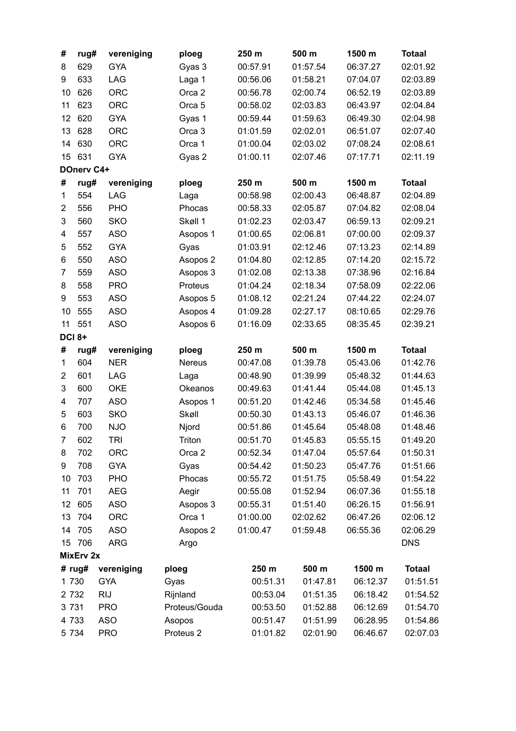| 629<br><b>GYA</b><br>Gyas 3<br>00:57.91<br>01:57.54<br>06:37.27<br>02:01.92<br>8<br>633<br>LAG<br>Laga 1<br>02:03.89<br>9<br>00:56.06<br>01:58.21<br>07:04.07<br><b>ORC</b><br>Orca <sub>2</sub><br>626<br>00:56.78<br>02:00.74<br>06:52.19<br>02:03.89<br>10<br>11<br>623<br><b>ORC</b><br>00:58.02<br>02:03.83<br>02:04.84<br>Orca <sub>5</sub><br>06:43.97<br>620<br><b>GYA</b><br>12<br>Gyas 1<br>00:59.44<br>01:59.63<br>06:49.30<br>02:04.98<br>13<br>ORC<br>628<br>Orca 3<br>01:01.59<br>02:02.01<br>06:51.07<br>02:07.40<br>14<br>630<br><b>ORC</b><br>Orca 1<br>01:00.04<br>02:03.02<br>07:08.24<br>02:08.61<br>631<br>15<br><b>GYA</b><br>01:00.11<br>02:11.19<br>Gyas 2<br>02:07.46<br>07:17.71<br>DOnerv C4+<br>500 m<br>1500 m<br>#<br>rug#<br>vereniging<br>250 m<br><b>Totaal</b><br>ploeg<br>554<br><b>LAG</b><br>02:00.43<br>06:48.87<br>02:04.89<br>1<br>00:58.98<br>Laga<br>$\overline{\mathbf{c}}$<br>556<br>PHO<br>Phocas<br>00:58.33<br>02:05.87<br>07:04.82<br>02:08.04<br>3<br>560<br><b>SKO</b><br>Skøll 1<br>01:02.23<br>02:03.47<br>06:59.13<br>02:09.21<br>557<br><b>ASO</b><br>01:00.65<br>02:06.81<br>07:00.00<br>02:09.37<br>4<br>Asopos 1<br>5<br><b>GYA</b><br>01:03.91<br>02:12.46<br>07:13.23<br>02:14.89<br>552<br>Gyas<br><b>ASO</b><br>550<br>Asopos 2<br>01:04.80<br>02:12.85<br>07:14.20<br>02:15.72<br>6<br><b>ASO</b><br>Asopos 3<br>01:02.08<br>07:38.96<br>02:16.84<br>7<br>559<br>02:13.38<br><b>PRO</b><br>558<br>Proteus<br>01:04.24<br>02:18.34<br>07:58.09<br>02:22.06<br>8<br>553<br><b>ASO</b><br>01:08.12<br>02:21.24<br>07:44.22<br>02:24.07<br>9<br>Asopos 5<br><b>ASO</b><br>555<br>Asopos 4<br>01:09.28<br>02:27.17<br>08:10.65<br>02:29.76<br>10<br>11<br>551<br><b>ASO</b><br>Asopos 6<br>02:39.21<br>01:16.09<br>02:33.65<br>08:35.45<br><b>DCI 8+</b><br>250 m<br>500 m<br>1500 m<br><b>Totaal</b><br>#<br>vereniging<br>ploeg<br>rug#<br>604<br><b>NER</b><br>01:39.78<br>05:43.06<br>01:42.76<br>1<br><b>Nereus</b><br>00:47.08<br>601<br><b>LAG</b><br>00:48.90<br>01:39.99<br>01:44.63<br>$\overline{c}$<br>05:48.32<br>Laga<br><b>OKE</b><br>3<br>600<br>00:49.63<br>01:41.44<br>01:45.13<br>Okeanos<br>05:44.08<br>707<br><b>ASO</b><br>00:51.20<br>01:42.46<br>01:45.46<br>4<br>Asopos 1<br>05:34.58<br>5<br>603<br><b>SKO</b><br>Skøll<br>00:50.30<br>01:43.13<br>01:46.36<br>05:46.07<br>700<br><b>NJO</b><br>Njord<br>00:51.86<br>01:45.64<br>05:48.08<br>01:48.46<br>6<br>Triton<br>602<br><b>TRI</b><br>00:51.70<br>01:45.83<br>05:55.15<br>01:49.20<br>7<br>702<br><b>ORC</b><br>01:47.04<br>05:57.64<br>01:50.31<br>Orca <sub>2</sub><br>00:52.34<br>8<br>708<br><b>GYA</b><br>01:51.66<br>9<br>Gyas<br>00:54.42<br>01:50.23<br>05:47.76<br>703<br>PHO<br>00:55.72<br>01:51.75<br>10<br>Phocas<br>05:58.49<br>01:54.22<br>11<br>701<br><b>AEG</b><br>Aegir<br>00:55.08<br>01:52.94<br>06:07.36<br>01:55.18<br>12<br>605<br><b>ASO</b><br>00:55.31<br>01:51.40<br>06:26.15<br>01:56.91<br>Asopos 3 |
|-----------------------------------------------------------------------------------------------------------------------------------------------------------------------------------------------------------------------------------------------------------------------------------------------------------------------------------------------------------------------------------------------------------------------------------------------------------------------------------------------------------------------------------------------------------------------------------------------------------------------------------------------------------------------------------------------------------------------------------------------------------------------------------------------------------------------------------------------------------------------------------------------------------------------------------------------------------------------------------------------------------------------------------------------------------------------------------------------------------------------------------------------------------------------------------------------------------------------------------------------------------------------------------------------------------------------------------------------------------------------------------------------------------------------------------------------------------------------------------------------------------------------------------------------------------------------------------------------------------------------------------------------------------------------------------------------------------------------------------------------------------------------------------------------------------------------------------------------------------------------------------------------------------------------------------------------------------------------------------------------------------------------------------------------------------------------------------------------------------------------------------------------------------------------------------------------------------------------------------------------------------------------------------------------------------------------------------------------------------------------------------------------------------------------------------------------------------------------------------------------------------------------------------------------------------------------------------------------------------------------------------------------------------------------------------------------------------------------------------------------------------------------------------------------------------------------------------------------------------------------------------------------------------------------------------------------------------------------------|
|                                                                                                                                                                                                                                                                                                                                                                                                                                                                                                                                                                                                                                                                                                                                                                                                                                                                                                                                                                                                                                                                                                                                                                                                                                                                                                                                                                                                                                                                                                                                                                                                                                                                                                                                                                                                                                                                                                                                                                                                                                                                                                                                                                                                                                                                                                                                                                                                                                                                                                                                                                                                                                                                                                                                                                                                                                                                                                                                                                             |
|                                                                                                                                                                                                                                                                                                                                                                                                                                                                                                                                                                                                                                                                                                                                                                                                                                                                                                                                                                                                                                                                                                                                                                                                                                                                                                                                                                                                                                                                                                                                                                                                                                                                                                                                                                                                                                                                                                                                                                                                                                                                                                                                                                                                                                                                                                                                                                                                                                                                                                                                                                                                                                                                                                                                                                                                                                                                                                                                                                             |
|                                                                                                                                                                                                                                                                                                                                                                                                                                                                                                                                                                                                                                                                                                                                                                                                                                                                                                                                                                                                                                                                                                                                                                                                                                                                                                                                                                                                                                                                                                                                                                                                                                                                                                                                                                                                                                                                                                                                                                                                                                                                                                                                                                                                                                                                                                                                                                                                                                                                                                                                                                                                                                                                                                                                                                                                                                                                                                                                                                             |
|                                                                                                                                                                                                                                                                                                                                                                                                                                                                                                                                                                                                                                                                                                                                                                                                                                                                                                                                                                                                                                                                                                                                                                                                                                                                                                                                                                                                                                                                                                                                                                                                                                                                                                                                                                                                                                                                                                                                                                                                                                                                                                                                                                                                                                                                                                                                                                                                                                                                                                                                                                                                                                                                                                                                                                                                                                                                                                                                                                             |
|                                                                                                                                                                                                                                                                                                                                                                                                                                                                                                                                                                                                                                                                                                                                                                                                                                                                                                                                                                                                                                                                                                                                                                                                                                                                                                                                                                                                                                                                                                                                                                                                                                                                                                                                                                                                                                                                                                                                                                                                                                                                                                                                                                                                                                                                                                                                                                                                                                                                                                                                                                                                                                                                                                                                                                                                                                                                                                                                                                             |
|                                                                                                                                                                                                                                                                                                                                                                                                                                                                                                                                                                                                                                                                                                                                                                                                                                                                                                                                                                                                                                                                                                                                                                                                                                                                                                                                                                                                                                                                                                                                                                                                                                                                                                                                                                                                                                                                                                                                                                                                                                                                                                                                                                                                                                                                                                                                                                                                                                                                                                                                                                                                                                                                                                                                                                                                                                                                                                                                                                             |
|                                                                                                                                                                                                                                                                                                                                                                                                                                                                                                                                                                                                                                                                                                                                                                                                                                                                                                                                                                                                                                                                                                                                                                                                                                                                                                                                                                                                                                                                                                                                                                                                                                                                                                                                                                                                                                                                                                                                                                                                                                                                                                                                                                                                                                                                                                                                                                                                                                                                                                                                                                                                                                                                                                                                                                                                                                                                                                                                                                             |
|                                                                                                                                                                                                                                                                                                                                                                                                                                                                                                                                                                                                                                                                                                                                                                                                                                                                                                                                                                                                                                                                                                                                                                                                                                                                                                                                                                                                                                                                                                                                                                                                                                                                                                                                                                                                                                                                                                                                                                                                                                                                                                                                                                                                                                                                                                                                                                                                                                                                                                                                                                                                                                                                                                                                                                                                                                                                                                                                                                             |
|                                                                                                                                                                                                                                                                                                                                                                                                                                                                                                                                                                                                                                                                                                                                                                                                                                                                                                                                                                                                                                                                                                                                                                                                                                                                                                                                                                                                                                                                                                                                                                                                                                                                                                                                                                                                                                                                                                                                                                                                                                                                                                                                                                                                                                                                                                                                                                                                                                                                                                                                                                                                                                                                                                                                                                                                                                                                                                                                                                             |
|                                                                                                                                                                                                                                                                                                                                                                                                                                                                                                                                                                                                                                                                                                                                                                                                                                                                                                                                                                                                                                                                                                                                                                                                                                                                                                                                                                                                                                                                                                                                                                                                                                                                                                                                                                                                                                                                                                                                                                                                                                                                                                                                                                                                                                                                                                                                                                                                                                                                                                                                                                                                                                                                                                                                                                                                                                                                                                                                                                             |
|                                                                                                                                                                                                                                                                                                                                                                                                                                                                                                                                                                                                                                                                                                                                                                                                                                                                                                                                                                                                                                                                                                                                                                                                                                                                                                                                                                                                                                                                                                                                                                                                                                                                                                                                                                                                                                                                                                                                                                                                                                                                                                                                                                                                                                                                                                                                                                                                                                                                                                                                                                                                                                                                                                                                                                                                                                                                                                                                                                             |
|                                                                                                                                                                                                                                                                                                                                                                                                                                                                                                                                                                                                                                                                                                                                                                                                                                                                                                                                                                                                                                                                                                                                                                                                                                                                                                                                                                                                                                                                                                                                                                                                                                                                                                                                                                                                                                                                                                                                                                                                                                                                                                                                                                                                                                                                                                                                                                                                                                                                                                                                                                                                                                                                                                                                                                                                                                                                                                                                                                             |
|                                                                                                                                                                                                                                                                                                                                                                                                                                                                                                                                                                                                                                                                                                                                                                                                                                                                                                                                                                                                                                                                                                                                                                                                                                                                                                                                                                                                                                                                                                                                                                                                                                                                                                                                                                                                                                                                                                                                                                                                                                                                                                                                                                                                                                                                                                                                                                                                                                                                                                                                                                                                                                                                                                                                                                                                                                                                                                                                                                             |
|                                                                                                                                                                                                                                                                                                                                                                                                                                                                                                                                                                                                                                                                                                                                                                                                                                                                                                                                                                                                                                                                                                                                                                                                                                                                                                                                                                                                                                                                                                                                                                                                                                                                                                                                                                                                                                                                                                                                                                                                                                                                                                                                                                                                                                                                                                                                                                                                                                                                                                                                                                                                                                                                                                                                                                                                                                                                                                                                                                             |
|                                                                                                                                                                                                                                                                                                                                                                                                                                                                                                                                                                                                                                                                                                                                                                                                                                                                                                                                                                                                                                                                                                                                                                                                                                                                                                                                                                                                                                                                                                                                                                                                                                                                                                                                                                                                                                                                                                                                                                                                                                                                                                                                                                                                                                                                                                                                                                                                                                                                                                                                                                                                                                                                                                                                                                                                                                                                                                                                                                             |
|                                                                                                                                                                                                                                                                                                                                                                                                                                                                                                                                                                                                                                                                                                                                                                                                                                                                                                                                                                                                                                                                                                                                                                                                                                                                                                                                                                                                                                                                                                                                                                                                                                                                                                                                                                                                                                                                                                                                                                                                                                                                                                                                                                                                                                                                                                                                                                                                                                                                                                                                                                                                                                                                                                                                                                                                                                                                                                                                                                             |
|                                                                                                                                                                                                                                                                                                                                                                                                                                                                                                                                                                                                                                                                                                                                                                                                                                                                                                                                                                                                                                                                                                                                                                                                                                                                                                                                                                                                                                                                                                                                                                                                                                                                                                                                                                                                                                                                                                                                                                                                                                                                                                                                                                                                                                                                                                                                                                                                                                                                                                                                                                                                                                                                                                                                                                                                                                                                                                                                                                             |
|                                                                                                                                                                                                                                                                                                                                                                                                                                                                                                                                                                                                                                                                                                                                                                                                                                                                                                                                                                                                                                                                                                                                                                                                                                                                                                                                                                                                                                                                                                                                                                                                                                                                                                                                                                                                                                                                                                                                                                                                                                                                                                                                                                                                                                                                                                                                                                                                                                                                                                                                                                                                                                                                                                                                                                                                                                                                                                                                                                             |
|                                                                                                                                                                                                                                                                                                                                                                                                                                                                                                                                                                                                                                                                                                                                                                                                                                                                                                                                                                                                                                                                                                                                                                                                                                                                                                                                                                                                                                                                                                                                                                                                                                                                                                                                                                                                                                                                                                                                                                                                                                                                                                                                                                                                                                                                                                                                                                                                                                                                                                                                                                                                                                                                                                                                                                                                                                                                                                                                                                             |
|                                                                                                                                                                                                                                                                                                                                                                                                                                                                                                                                                                                                                                                                                                                                                                                                                                                                                                                                                                                                                                                                                                                                                                                                                                                                                                                                                                                                                                                                                                                                                                                                                                                                                                                                                                                                                                                                                                                                                                                                                                                                                                                                                                                                                                                                                                                                                                                                                                                                                                                                                                                                                                                                                                                                                                                                                                                                                                                                                                             |
|                                                                                                                                                                                                                                                                                                                                                                                                                                                                                                                                                                                                                                                                                                                                                                                                                                                                                                                                                                                                                                                                                                                                                                                                                                                                                                                                                                                                                                                                                                                                                                                                                                                                                                                                                                                                                                                                                                                                                                                                                                                                                                                                                                                                                                                                                                                                                                                                                                                                                                                                                                                                                                                                                                                                                                                                                                                                                                                                                                             |
|                                                                                                                                                                                                                                                                                                                                                                                                                                                                                                                                                                                                                                                                                                                                                                                                                                                                                                                                                                                                                                                                                                                                                                                                                                                                                                                                                                                                                                                                                                                                                                                                                                                                                                                                                                                                                                                                                                                                                                                                                                                                                                                                                                                                                                                                                                                                                                                                                                                                                                                                                                                                                                                                                                                                                                                                                                                                                                                                                                             |
|                                                                                                                                                                                                                                                                                                                                                                                                                                                                                                                                                                                                                                                                                                                                                                                                                                                                                                                                                                                                                                                                                                                                                                                                                                                                                                                                                                                                                                                                                                                                                                                                                                                                                                                                                                                                                                                                                                                                                                                                                                                                                                                                                                                                                                                                                                                                                                                                                                                                                                                                                                                                                                                                                                                                                                                                                                                                                                                                                                             |
|                                                                                                                                                                                                                                                                                                                                                                                                                                                                                                                                                                                                                                                                                                                                                                                                                                                                                                                                                                                                                                                                                                                                                                                                                                                                                                                                                                                                                                                                                                                                                                                                                                                                                                                                                                                                                                                                                                                                                                                                                                                                                                                                                                                                                                                                                                                                                                                                                                                                                                                                                                                                                                                                                                                                                                                                                                                                                                                                                                             |
|                                                                                                                                                                                                                                                                                                                                                                                                                                                                                                                                                                                                                                                                                                                                                                                                                                                                                                                                                                                                                                                                                                                                                                                                                                                                                                                                                                                                                                                                                                                                                                                                                                                                                                                                                                                                                                                                                                                                                                                                                                                                                                                                                                                                                                                                                                                                                                                                                                                                                                                                                                                                                                                                                                                                                                                                                                                                                                                                                                             |
|                                                                                                                                                                                                                                                                                                                                                                                                                                                                                                                                                                                                                                                                                                                                                                                                                                                                                                                                                                                                                                                                                                                                                                                                                                                                                                                                                                                                                                                                                                                                                                                                                                                                                                                                                                                                                                                                                                                                                                                                                                                                                                                                                                                                                                                                                                                                                                                                                                                                                                                                                                                                                                                                                                                                                                                                                                                                                                                                                                             |
|                                                                                                                                                                                                                                                                                                                                                                                                                                                                                                                                                                                                                                                                                                                                                                                                                                                                                                                                                                                                                                                                                                                                                                                                                                                                                                                                                                                                                                                                                                                                                                                                                                                                                                                                                                                                                                                                                                                                                                                                                                                                                                                                                                                                                                                                                                                                                                                                                                                                                                                                                                                                                                                                                                                                                                                                                                                                                                                                                                             |
|                                                                                                                                                                                                                                                                                                                                                                                                                                                                                                                                                                                                                                                                                                                                                                                                                                                                                                                                                                                                                                                                                                                                                                                                                                                                                                                                                                                                                                                                                                                                                                                                                                                                                                                                                                                                                                                                                                                                                                                                                                                                                                                                                                                                                                                                                                                                                                                                                                                                                                                                                                                                                                                                                                                                                                                                                                                                                                                                                                             |
|                                                                                                                                                                                                                                                                                                                                                                                                                                                                                                                                                                                                                                                                                                                                                                                                                                                                                                                                                                                                                                                                                                                                                                                                                                                                                                                                                                                                                                                                                                                                                                                                                                                                                                                                                                                                                                                                                                                                                                                                                                                                                                                                                                                                                                                                                                                                                                                                                                                                                                                                                                                                                                                                                                                                                                                                                                                                                                                                                                             |
|                                                                                                                                                                                                                                                                                                                                                                                                                                                                                                                                                                                                                                                                                                                                                                                                                                                                                                                                                                                                                                                                                                                                                                                                                                                                                                                                                                                                                                                                                                                                                                                                                                                                                                                                                                                                                                                                                                                                                                                                                                                                                                                                                                                                                                                                                                                                                                                                                                                                                                                                                                                                                                                                                                                                                                                                                                                                                                                                                                             |
|                                                                                                                                                                                                                                                                                                                                                                                                                                                                                                                                                                                                                                                                                                                                                                                                                                                                                                                                                                                                                                                                                                                                                                                                                                                                                                                                                                                                                                                                                                                                                                                                                                                                                                                                                                                                                                                                                                                                                                                                                                                                                                                                                                                                                                                                                                                                                                                                                                                                                                                                                                                                                                                                                                                                                                                                                                                                                                                                                                             |
|                                                                                                                                                                                                                                                                                                                                                                                                                                                                                                                                                                                                                                                                                                                                                                                                                                                                                                                                                                                                                                                                                                                                                                                                                                                                                                                                                                                                                                                                                                                                                                                                                                                                                                                                                                                                                                                                                                                                                                                                                                                                                                                                                                                                                                                                                                                                                                                                                                                                                                                                                                                                                                                                                                                                                                                                                                                                                                                                                                             |
|                                                                                                                                                                                                                                                                                                                                                                                                                                                                                                                                                                                                                                                                                                                                                                                                                                                                                                                                                                                                                                                                                                                                                                                                                                                                                                                                                                                                                                                                                                                                                                                                                                                                                                                                                                                                                                                                                                                                                                                                                                                                                                                                                                                                                                                                                                                                                                                                                                                                                                                                                                                                                                                                                                                                                                                                                                                                                                                                                                             |
|                                                                                                                                                                                                                                                                                                                                                                                                                                                                                                                                                                                                                                                                                                                                                                                                                                                                                                                                                                                                                                                                                                                                                                                                                                                                                                                                                                                                                                                                                                                                                                                                                                                                                                                                                                                                                                                                                                                                                                                                                                                                                                                                                                                                                                                                                                                                                                                                                                                                                                                                                                                                                                                                                                                                                                                                                                                                                                                                                                             |
|                                                                                                                                                                                                                                                                                                                                                                                                                                                                                                                                                                                                                                                                                                                                                                                                                                                                                                                                                                                                                                                                                                                                                                                                                                                                                                                                                                                                                                                                                                                                                                                                                                                                                                                                                                                                                                                                                                                                                                                                                                                                                                                                                                                                                                                                                                                                                                                                                                                                                                                                                                                                                                                                                                                                                                                                                                                                                                                                                                             |
| 13<br>704<br><b>ORC</b><br>Orca 1<br>01:00.00<br>02:02.62<br>06:47.26<br>02:06.12                                                                                                                                                                                                                                                                                                                                                                                                                                                                                                                                                                                                                                                                                                                                                                                                                                                                                                                                                                                                                                                                                                                                                                                                                                                                                                                                                                                                                                                                                                                                                                                                                                                                                                                                                                                                                                                                                                                                                                                                                                                                                                                                                                                                                                                                                                                                                                                                                                                                                                                                                                                                                                                                                                                                                                                                                                                                                           |
| 705<br><b>ASO</b><br>Asopos 2<br>01:00.47<br>14<br>01:59.48<br>06:55.36<br>02:06.29                                                                                                                                                                                                                                                                                                                                                                                                                                                                                                                                                                                                                                                                                                                                                                                                                                                                                                                                                                                                                                                                                                                                                                                                                                                                                                                                                                                                                                                                                                                                                                                                                                                                                                                                                                                                                                                                                                                                                                                                                                                                                                                                                                                                                                                                                                                                                                                                                                                                                                                                                                                                                                                                                                                                                                                                                                                                                         |
| 706<br><b>ARG</b><br><b>DNS</b><br>15<br>Argo                                                                                                                                                                                                                                                                                                                                                                                                                                                                                                                                                                                                                                                                                                                                                                                                                                                                                                                                                                                                                                                                                                                                                                                                                                                                                                                                                                                                                                                                                                                                                                                                                                                                                                                                                                                                                                                                                                                                                                                                                                                                                                                                                                                                                                                                                                                                                                                                                                                                                                                                                                                                                                                                                                                                                                                                                                                                                                                               |
| <b>MixErv 2x</b>                                                                                                                                                                                                                                                                                                                                                                                                                                                                                                                                                                                                                                                                                                                                                                                                                                                                                                                                                                                                                                                                                                                                                                                                                                                                                                                                                                                                                                                                                                                                                                                                                                                                                                                                                                                                                                                                                                                                                                                                                                                                                                                                                                                                                                                                                                                                                                                                                                                                                                                                                                                                                                                                                                                                                                                                                                                                                                                                                            |
| 1500 m<br># $rug#$<br>vereniging<br>250 m<br>500 m<br><b>Totaal</b><br>ploeg                                                                                                                                                                                                                                                                                                                                                                                                                                                                                                                                                                                                                                                                                                                                                                                                                                                                                                                                                                                                                                                                                                                                                                                                                                                                                                                                                                                                                                                                                                                                                                                                                                                                                                                                                                                                                                                                                                                                                                                                                                                                                                                                                                                                                                                                                                                                                                                                                                                                                                                                                                                                                                                                                                                                                                                                                                                                                                |
|                                                                                                                                                                                                                                                                                                                                                                                                                                                                                                                                                                                                                                                                                                                                                                                                                                                                                                                                                                                                                                                                                                                                                                                                                                                                                                                                                                                                                                                                                                                                                                                                                                                                                                                                                                                                                                                                                                                                                                                                                                                                                                                                                                                                                                                                                                                                                                                                                                                                                                                                                                                                                                                                                                                                                                                                                                                                                                                                                                             |
| <b>GYA</b>                                                                                                                                                                                                                                                                                                                                                                                                                                                                                                                                                                                                                                                                                                                                                                                                                                                                                                                                                                                                                                                                                                                                                                                                                                                                                                                                                                                                                                                                                                                                                                                                                                                                                                                                                                                                                                                                                                                                                                                                                                                                                                                                                                                                                                                                                                                                                                                                                                                                                                                                                                                                                                                                                                                                                                                                                                                                                                                                                                  |
| 1 7 3 0<br>01:51.51<br>Gyas<br>00:51.31<br>01:47.81<br>06:12.37                                                                                                                                                                                                                                                                                                                                                                                                                                                                                                                                                                                                                                                                                                                                                                                                                                                                                                                                                                                                                                                                                                                                                                                                                                                                                                                                                                                                                                                                                                                                                                                                                                                                                                                                                                                                                                                                                                                                                                                                                                                                                                                                                                                                                                                                                                                                                                                                                                                                                                                                                                                                                                                                                                                                                                                                                                                                                                             |
| <b>RIJ</b><br>2 7 3 2<br>Rijnland<br>00:53.04<br>01:51.35<br>06:18.42<br>01:54.52                                                                                                                                                                                                                                                                                                                                                                                                                                                                                                                                                                                                                                                                                                                                                                                                                                                                                                                                                                                                                                                                                                                                                                                                                                                                                                                                                                                                                                                                                                                                                                                                                                                                                                                                                                                                                                                                                                                                                                                                                                                                                                                                                                                                                                                                                                                                                                                                                                                                                                                                                                                                                                                                                                                                                                                                                                                                                           |
| 3 7 3 1<br><b>PRO</b><br>Proteus/Gouda<br>00:53.50<br>01:52.88<br>06:12.69<br>01:54.70<br><b>ASO</b><br>00:51.47<br>01:51.99<br>06:28.95<br>01:54.86<br>4 7 3 3<br>Asopos                                                                                                                                                                                                                                                                                                                                                                                                                                                                                                                                                                                                                                                                                                                                                                                                                                                                                                                                                                                                                                                                                                                                                                                                                                                                                                                                                                                                                                                                                                                                                                                                                                                                                                                                                                                                                                                                                                                                                                                                                                                                                                                                                                                                                                                                                                                                                                                                                                                                                                                                                                                                                                                                                                                                                                                                   |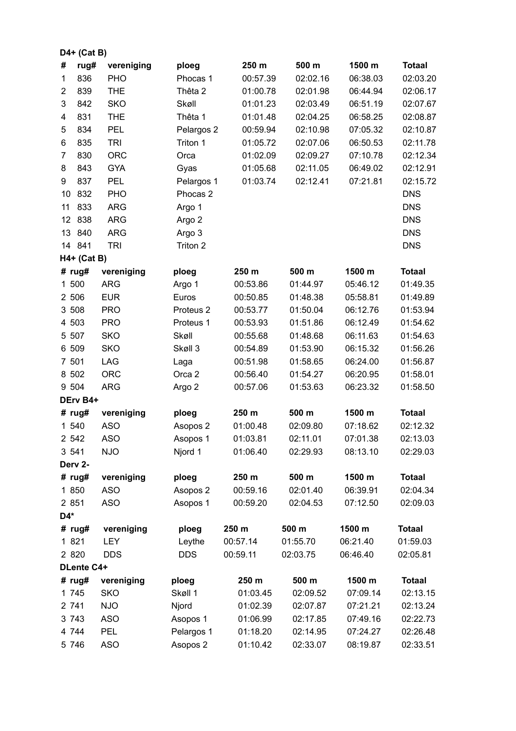|            | $D4+$ (Cat B) |            |                      |          |          |          |               |
|------------|---------------|------------|----------------------|----------|----------|----------|---------------|
| #          | rug#          | vereniging | ploeg                | 250 m    | 500 m    | 1500 m   | <b>Totaal</b> |
| 1          | 836           | PHO        | Phocas 1             | 00:57.39 | 02:02.16 | 06:38.03 | 02:03.20      |
| 2          | 839           | <b>THE</b> | Thêta 2              | 01:00.78 | 02:01.98 | 06:44.94 | 02:06.17      |
| 3          | 842           | <b>SKO</b> | Skøll                | 01:01.23 | 02:03.49 | 06:51.19 | 02:07.67      |
| 4          | 831           | <b>THE</b> | Thêta 1              | 01:01.48 | 02:04.25 | 06:58.25 | 02:08.87      |
| 5          | 834           | <b>PEL</b> | Pelargos 2           | 00:59.94 | 02:10.98 | 07:05.32 | 02:10.87      |
| 6          | 835           | <b>TRI</b> | Triton 1             | 01:05.72 | 02:07.06 | 06:50.53 | 02:11.78      |
| 7          | 830           | <b>ORC</b> | Orca                 | 01:02.09 | 02:09.27 | 07:10.78 | 02:12.34      |
| 8          | 843           | <b>GYA</b> | Gyas                 | 01:05.68 | 02:11.05 | 06:49.02 | 02:12.91      |
| 9          | 837           | <b>PEL</b> | Pelargos 1           | 01:03.74 | 02:12.41 | 07:21.81 | 02:15.72      |
| 10         | 832           | <b>PHO</b> | Phocas <sub>2</sub>  |          |          |          | <b>DNS</b>    |
| 11         | 833           | <b>ARG</b> | Argo 1               |          |          |          | <b>DNS</b>    |
| 12         | 838           | <b>ARG</b> | Argo 2               |          |          |          | <b>DNS</b>    |
| 13         | 840           | <b>ARG</b> | Argo 3               |          |          |          | <b>DNS</b>    |
|            | 14 841        | <b>TRI</b> | Triton 2             |          |          |          | <b>DNS</b>    |
|            | H4+ (Cat B)   |            |                      |          |          |          |               |
|            | # $rug#$      | vereniging | ploeg                | 250 m    | 500 m    | 1500 m   | <b>Totaal</b> |
| 1 500      |               | <b>ARG</b> | Argo 1               | 00:53.86 | 01:44.97 | 05:46.12 | 01:49.35      |
| 2 506      |               | <b>EUR</b> | Euros                | 00:50.85 | 01:48.38 | 05:58.81 | 01:49.89      |
| 3 508      |               | <b>PRO</b> | Proteus <sub>2</sub> | 00:53.77 | 01:50.04 | 06:12.76 | 01:53.94      |
| 4 503      |               | <b>PRO</b> | Proteus 1            | 00:53.93 | 01:51.86 | 06:12.49 | 01:54.62      |
| 5 507      |               | <b>SKO</b> | Skøll                | 00:55.68 | 01:48.68 | 06:11.63 | 01:54.63      |
| 6 509      |               | <b>SKO</b> | Skøll 3              | 00:54.89 | 01:53.90 | 06:15.32 | 01:56.26      |
| 7 501      |               | <b>LAG</b> | Laga                 | 00:51.98 | 01:58.65 | 06:24.00 | 01:56.87      |
| 8 502      |               | <b>ORC</b> | Orca 2               | 00:56.40 | 01:54.27 | 06:20.95 | 01:58.01      |
| 9 504      |               | <b>ARG</b> | Argo 2               | 00:57.06 | 01:53.63 | 06:23.32 | 01:58.50      |
| DErv B4+   |               |            |                      |          |          |          |               |
|            | # $rug#$      | vereniging | ploeg                | 250 m    | 500 m    | 1500 m   | <b>Totaal</b> |
| 1 540      |               | <b>ASO</b> | Asopos 2             | 01:00.48 | 02:09.80 | 07:18.62 | 02:12.32      |
| 2 542      |               | <b>ASO</b> | Asopos 1             | 01:03.81 | 02:11.01 | 07:01.38 | 02:13.03      |
| 3 5 4 1    |               | <b>NJO</b> | Njord 1              | 01:06.40 | 02:29.93 | 08:13.10 | 02:29.03      |
|            | Derv 2-       |            |                      |          |          |          |               |
|            | # $rug#$      | vereniging | ploeg                | 250 m    | 500 m    | 1500 m   | <b>Totaal</b> |
|            | 1 850         | <b>ASO</b> | Asopos 2             | 00:59.16 | 02:01.40 | 06:39.91 | 02:04.34      |
| 2 851      |               | <b>ASO</b> | Asopos 1             | 00:59.20 | 02:04.53 | 07:12.50 | 02:09.03      |
| D4*        |               |            |                      |          |          |          |               |
|            | # $rug#$      | vereniging | ploeg                | 250 m    | 500 m    | 1500 m   | <b>Totaal</b> |
| 1 821      |               | <b>LEY</b> | Leythe               | 00:57.14 | 01:55.70 | 06:21.40 | 01:59.03      |
| 2 8 2 0    |               | <b>DDS</b> | <b>DDS</b>           | 00:59.11 | 02:03.75 | 06:46.40 | 02:05.81      |
| DLente C4+ |               |            |                      |          |          |          |               |
|            | # $rug#$      | vereniging | ploeg                | 250 m    | 500 m    | 1500 m   | <b>Totaal</b> |
|            | 1 745         | <b>SKO</b> | Skøll 1              | 01:03.45 | 02:09.52 | 07:09.14 | 02:13.15      |
| 2 741      |               | <b>NJO</b> | Njord                | 01:02.39 | 02:07.87 | 07:21.21 | 02:13.24      |
| 3 7 4 3    |               | <b>ASO</b> | Asopos 1             | 01:06.99 | 02:17.85 | 07:49.16 | 02:22.73      |
| 4 744      |               | <b>PEL</b> | Pelargos 1           | 01:18.20 | 02:14.95 | 07:24.27 | 02:26.48      |
| 5 746      |               | <b>ASO</b> | Asopos 2             | 01:10.42 | 02:33.07 | 08:19.87 | 02:33.51      |